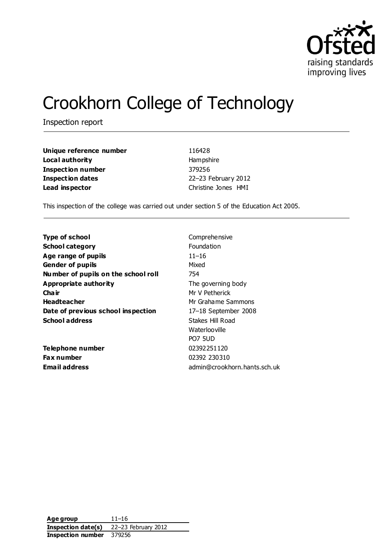

# Crookhorn College of Technology

Inspection report

| Unique reference number  |  |
|--------------------------|--|
| Local authority          |  |
| <b>Inspection number</b> |  |
| <b>Inspection dates</b>  |  |
| Lead inspector           |  |

**Unique reference number** 116428 **Local authority** Hampshire **Inspection number** 379256 **Inspection dates** 22–23 February 2012 **Lead inspector** Christine Jones HMI

This inspection of the college was carried out under section 5 of the Education Act 2005.

| <b>Type of school</b>               | Comprehensive                |
|-------------------------------------|------------------------------|
| <b>School category</b>              | <b>Foundation</b>            |
| Age range of pupils                 | $11 - 16$                    |
| <b>Gender of pupils</b>             | Mixed                        |
| Number of pupils on the school roll | 754                          |
| Appropriate authority               | The governing body           |
| Cha ir                              | Mr V Petherick               |
| <b>Headteacher</b>                  | Mr Grahame Sammons           |
| Date of previous school inspection  | 17-18 September 2008         |
| <b>School address</b>               | Stakes Hill Road             |
|                                     | Waterlooville                |
|                                     | <b>PO7 5UD</b>               |
| Telephone number                    | 02392251120                  |
| <b>Fax number</b>                   | 02392 230310                 |
| Email address                       | admin@crookhorn.hants.sch.uk |

**Age group** 11–16 **Inspection date(s)** 22–23 February 2012 **Inspection number** 379256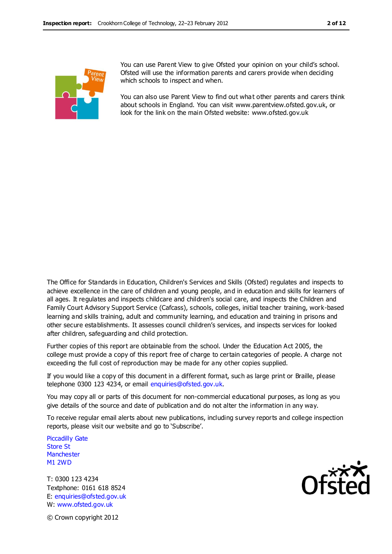

You can use Parent View to give Ofsted your opinion on your child's school. Ofsted will use the information parents and carers provide when deciding which schools to inspect and when.

You can also use Parent View to find out what other parents and carers think about schools in England. You can visit www.parentview.ofsted.gov.uk, or look for the link on the main Ofsted website: www.ofsted.gov.uk

The Office for Standards in Education, Children's Services and Skills (Ofsted) regulates and inspects to achieve excellence in the care of children and young people, and in education and skills for learners of all ages. It regulates and inspects childcare and children's social care, and inspects the Children and Family Court Advisory Support Service (Cafcass), schools, colleges, initial teacher training, work-based learning and skills training, adult and community learning, and education and training in prisons and other secure establishments. It assesses council children's services, and inspects services for looked after children, safeguarding and child protection.

Further copies of this report are obtainable from the school. Under the Education Act 2005, the college must provide a copy of this report free of charge to certain categories of people. A charge not exceeding the full cost of reproduction may be made for any other copies supplied.

If you would like a copy of this document in a different format, such as large print or Braille, please telephone 0300 123 4234, or email enquiries@ofsted.gov.uk.

You may copy all or parts of this document for non-commercial educational purposes, as long as you give details of the source and date of publication and do not alter the information in any way.

To receive regular email alerts about new publications, including survey reports and college inspection reports, please visit our website and go to 'Subscribe'.

Piccadilly Gate Store St **Manchester** M1 2WD

T: 0300 123 4234 Textphone: 0161 618 8524 E: enquiries@ofsted.gov.uk W: www.ofsted.gov.uk



© Crown copyright 2012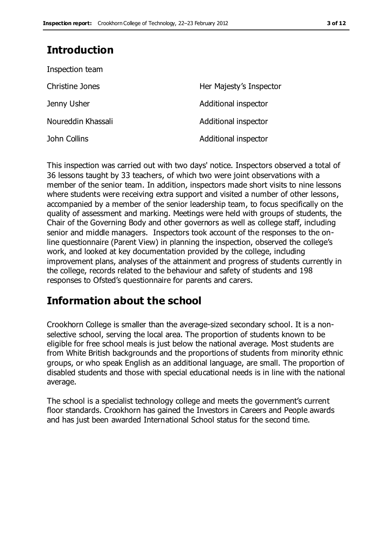## **Introduction**

| Inspection team        |                         |
|------------------------|-------------------------|
| <b>Christine Jones</b> | Her Majesty's Inspector |
| Jenny Usher            | Additional inspector    |
| Noureddin Khassali     | Additional inspector    |
| John Collins           | Additional inspector    |

This inspection was carried out with two days' notice. Inspectors observed a total of 36 lessons taught by 33 teachers, of which two were joint observations with a member of the senior team. In addition, inspectors made short visits to nine lessons where students were receiving extra support and visited a number of other lessons, accompanied by a member of the senior leadership team, to focus specifically on the quality of assessment and marking. Meetings were held with groups of students, the Chair of the Governing Body and other governors as well as college staff, including senior and middle managers. Inspectors took account of the responses to the online questionnaire (Parent View) in planning the inspection, observed the college's work, and looked at key documentation provided by the college, including improvement plans, analyses of the attainment and progress of students currently in the college, records related to the behaviour and safety of students and 198 responses to Ofsted's questionnaire for parents and carers.

## **Information about the school**

Crookhorn College is smaller than the average-sized secondary school. It is a nonselective school, serving the local area. The proportion of students known to be eligible for free school meals is just below the national average. Most students are from White British backgrounds and the proportions of students from minority ethnic groups, or who speak English as an additional language, are small. The proportion of disabled students and those with special educational needs is in line with the national average.

The school is a specialist technology college and meets the government's current floor standards. Crookhorn has gained the Investors in Careers and People awards and has just been awarded International School status for the second time.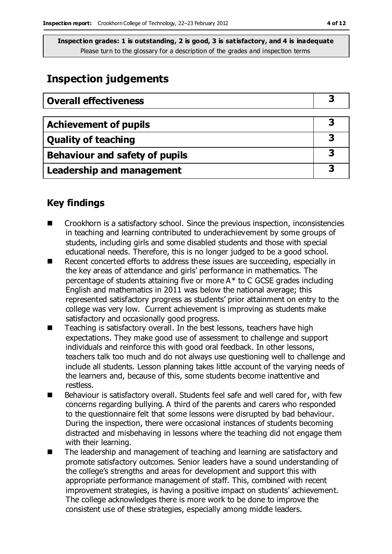## **Inspection judgements**

| <b>Overall effectiveness</b>     |  |
|----------------------------------|--|
|                                  |  |
| <b>Achievement of pupils</b>     |  |
| <b>Quality of teaching</b>       |  |
| Behaviour and safety of pupils   |  |
| <b>Leadership and management</b> |  |

### **Key findings**

- Crookhorn is a satisfactory school. Since the previous inspection, inconsistencies in teaching and learning contributed to underachievement by some groups of students, including girls and some disabled students and those with special educational needs. Therefore, this is no longer judged to be a good school.
- Recent concerted efforts to address these issues are succeeding, especially in the key areas of attendance and girls' performance in mathematics. The percentage of students attaining five or more A\* to C GCSE grades including English and mathematics in 2011 was below the national average; this represented satisfactory progress as students' prior attainment on entry to the college was very low. Current achievement is improving as students make satisfactory and occasionally good progress.
- Teaching is satisfactory overall. In the best lessons, teachers have high expectations. They make good use of assessment to challenge and support individuals and reinforce this with good oral feedback. In other lessons, teachers talk too much and do not always use questioning well to challenge and include all students. Lesson planning takes little account of the varying needs of the learners and, because of this, some students become inattentive and restless.
- Behaviour is satisfactory overall. Students feel safe and well cared for, with few concerns regarding bullying. A third of the parents and carers who responded to the questionnaire felt that some lessons were disrupted by bad behaviour. During the inspection, there were occasional instances of students becoming distracted and misbehaving in lessons where the teaching did not engage them with their learning.
- The leadership and management of teaching and learning are satisfactory and promote satisfactory outcomes. Senior leaders have a sound understanding of the college's strengths and areas for development and support this with appropriate performance management of staff. This, combined with recent improvement strategies, is having a positive impact on students' achievement. The college acknowledges there is more work to be done to improve the consistent use of these strategies, especially among middle leaders.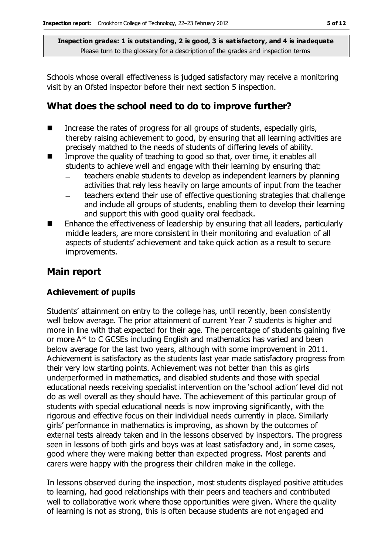Schools whose overall effectiveness is judged satisfactory may receive a monitoring visit by an Ofsted inspector before their next section 5 inspection.

### **What does the school need to do to improve further?**

- $\blacksquare$  Increase the rates of progress for all groups of students, especially girls, thereby raising achievement to good, by ensuring that all learning activities are precisely matched to the needs of students of differing levels of ability.
- Improve the quality of teaching to good so that, over time, it enables all students to achieve well and engage with their learning by ensuring that:
	- teachers enable students to develop as independent learners by planning activities that rely less heavily on large amounts of input from the teacher
	- teachers extend their use of effective questioning strategies that challenge and include all groups of students, enabling them to develop their learning and support this with good quality oral feedback.
- Enhance the effectiveness of leadership by ensuring that all leaders, particularly middle leaders, are more consistent in their monitoring and evaluation of all aspects of students' achievement and take quick action as a result to secure improvements.

#### **Main report**

#### **Achievement of pupils**

Students' attainment on entry to the college has, until recently, been consistently well below average. The prior attainment of current Year 7 students is higher and more in line with that expected for their age. The percentage of students gaining five or more A\* to C GCSEs including English and mathematics has varied and been below average for the last two years, although with some improvement in 2011. Achievement is satisfactory as the students last year made satisfactory progress from their very low starting points. Achievement was not better than this as girls underperformed in mathematics, and disabled students and those with special educational needs receiving specialist intervention on the 'school action' level did not do as well overall as they should have. The achievement of this particular group of students with special educational needs is now improving significantly, with the rigorous and effective focus on their individual needs currently in place. Similarly girls' performance in mathematics is improving, as shown by the outcomes of external tests already taken and in the lessons observed by inspectors. The progress seen in lessons of both girls and boys was at least satisfactory and, in some cases, good where they were making better than expected progress. Most parents and carers were happy with the progress their children make in the college.

In lessons observed during the inspection, most students displayed positive attitudes to learning, had good relationships with their peers and teachers and contributed well to collaborative work where those opportunities were given. Where the quality of learning is not as strong, this is often because students are not engaged and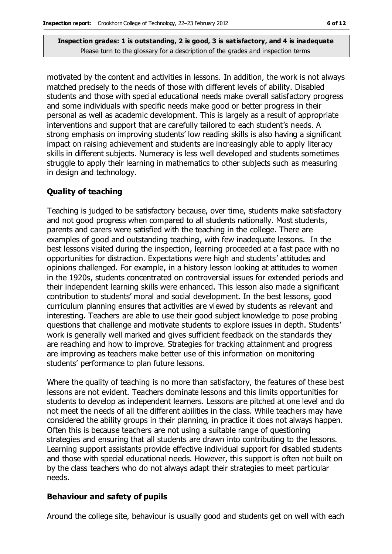motivated by the content and activities in lessons. In addition, the work is not always matched precisely to the needs of those with different levels of ability. Disabled students and those with special educational needs make overall satisfactory progress and some individuals with specific needs make good or better progress in their personal as well as academic development. This is largely as a result of appropriate interventions and support that are carefully tailored to each student's needs. A strong emphasis on improving students' low reading skills is also having a significant impact on raising achievement and students are increasingly able to apply literacy skills in different subjects. Numeracy is less well developed and students sometimes struggle to apply their learning in mathematics to other subjects such as measuring in design and technology.

#### **Quality of teaching**

Teaching is judged to be satisfactory because, over time, students make satisfactory and not good progress when compared to all students nationally. Most students, parents and carers were satisfied with the teaching in the college. There are examples of good and outstanding teaching, with few inadequate lessons. In the best lessons visited during the inspection, learning proceeded at a fast pace with no opportunities for distraction. Expectations were high and students' attitudes and opinions challenged. For example, in a history lesson looking at attitudes to women in the 1920s, students concentrated on controversial issues for extended periods and their independent learning skills were enhanced. This lesson also made a significant contribution to students' moral and social development. In the best lessons, good curriculum planning ensures that activities are viewed by students as relevant and interesting. Teachers are able to use their good subject knowledge to pose probing questions that challenge and motivate students to explore issues in depth. Students' work is generally well marked and gives sufficient feedback on the standards they are reaching and how to improve. Strategies for tracking attainment and progress are improving as teachers make better use of this information on monitoring students' performance to plan future lessons.

Where the quality of teaching is no more than satisfactory, the features of these best lessons are not evident. Teachers dominate lessons and this limits opportunities for students to develop as independent learners. Lessons are pitched at one level and do not meet the needs of all the different abilities in the class. While teachers may have considered the ability groups in their planning, in practice it does not always happen. Often this is because teachers are not using a suitable range of questioning strategies and ensuring that all students are drawn into contributing to the lessons. Learning support assistants provide effective individual support for disabled students and those with special educational needs. However, this support is often not built on by the class teachers who do not always adapt their strategies to meet particular needs.

#### **Behaviour and safety of pupils**

Around the college site, behaviour is usually good and students get on well with each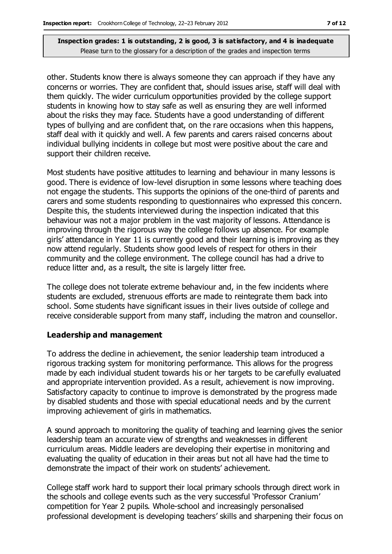other. Students know there is always someone they can approach if they have any concerns or worries. They are confident that, should issues arise, staff will deal with them quickly. The wider curriculum opportunities provided by the college support students in knowing how to stay safe as well as ensuring they are well informed about the risks they may face. Students have a good understanding of different types of bullying and are confident that, on the rare occasions when this happens, staff deal with it quickly and well. A few parents and carers raised concerns about individual bullying incidents in college but most were positive about the care and support their children receive.

Most students have positive attitudes to learning and behaviour in many lessons is good. There is evidence of low-level disruption in some lessons where teaching does not engage the students. This supports the opinions of the one-third of parents and carers and some students responding to questionnaires who expressed this concern. Despite this, the students interviewed during the inspection indicated that this behaviour was not a major problem in the vast majority of lessons. Attendance is improving through the rigorous way the college follows up absence. For example girls' attendance in Year 11 is currently good and their learning is improving as they now attend regularly. Students show good levels of respect for others in their community and the college environment. The college council has had a drive to reduce litter and, as a result, the site is largely litter free.

The college does not tolerate extreme behaviour and, in the few incidents where students are excluded, strenuous efforts are made to reintegrate them back into school. Some students have significant issues in their lives outside of college and receive considerable support from many staff, including the matron and counsellor.

#### **Leadership and management**

To address the decline in achievement, the senior leadership team introduced a rigorous tracking system for monitoring performance. This allows for the progress made by each individual student towards his or her targets to be carefully evaluated and appropriate intervention provided. As a result, achievement is now improving. Satisfactory capacity to continue to improve is demonstrated by the progress made by disabled students and those with special educational needs and by the current improving achievement of girls in mathematics.

A sound approach to monitoring the quality of teaching and learning gives the senior leadership team an accurate view of strengths and weaknesses in different curriculum areas. Middle leaders are developing their expertise in monitoring and evaluating the quality of education in their areas but not all have had the time to demonstrate the impact of their work on students' achievement.

College staff work hard to support their local primary schools through direct work in the schools and college events such as the very successful 'Professor Cranium' competition for Year 2 pupils. Whole-school and increasingly personalised professional development is developing teachers' skills and sharpening their focus on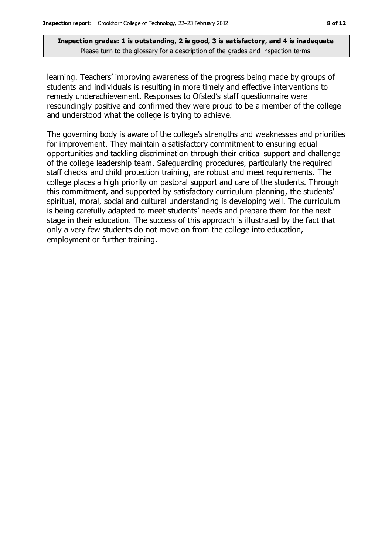learning. Teachers' improving awareness of the progress being made by groups of students and individuals is resulting in more timely and effective interventions to remedy underachievement. Responses to Ofsted's staff questionnaire were resoundingly positive and confirmed they were proud to be a member of the college and understood what the college is trying to achieve.

The governing body is aware of the college's strengths and weaknesses and priorities for improvement. They maintain a satisfactory commitment to ensuring equal opportunities and tackling discrimination through their critical support and challenge of the college leadership team. Safeguarding procedures, particularly the required staff checks and child protection training, are robust and meet requirements. The college places a high priority on pastoral support and care of the students. Through this commitment, and supported by satisfactory curriculum planning, the students' spiritual, moral, social and cultural understanding is developing well. The curriculum is being carefully adapted to meet students' needs and prepare them for the next stage in their education. The success of this approach is illustrated by the fact that only a very few students do not move on from the college into education, employment or further training.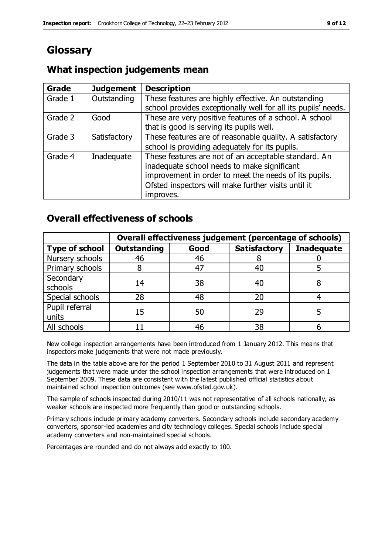## **Glossary**

### **What inspection judgements mean**

| Grade   | <b>Judgement</b> | <b>Description</b>                                            |
|---------|------------------|---------------------------------------------------------------|
| Grade 1 | Outstanding      | These features are highly effective. An outstanding           |
|         |                  | school provides exceptionally well for all its pupils' needs. |
| Grade 2 | Good             | These are very positive features of a school. A school        |
|         |                  | that is good is serving its pupils well.                      |
| Grade 3 | Satisfactory     | These features are of reasonable quality. A satisfactory      |
|         |                  | school is providing adequately for its pupils.                |
| Grade 4 | Inadequate       | These features are not of an acceptable standard. An          |
|         |                  | inadequate school needs to make significant                   |
|         |                  | improvement in order to meet the needs of its pupils.         |
|         |                  | Ofsted inspectors will make further visits until it           |
|         |                  | improves.                                                     |

### **Overall effectiveness of schools**

|                         | Overall effectiveness judgement (percentage of schools) |      |                     |                   |
|-------------------------|---------------------------------------------------------|------|---------------------|-------------------|
| <b>Type of school</b>   | <b>Outstanding</b>                                      | Good | <b>Satisfactory</b> | <b>Inadequate</b> |
| Nursery schools         | 46                                                      | 46   |                     |                   |
| Primary schools         |                                                         | 47   | 40                  |                   |
| Secondary<br>schools    | 14                                                      | 38   | 40                  |                   |
| Special schools         | 28                                                      | 48   | 20                  |                   |
| Pupil referral<br>units | 15                                                      | 50   | 29                  |                   |
| All schools             |                                                         | 46   | 38                  |                   |

New college inspection arrangements have been introduced from 1 January 2012. This means that inspectors make judgements that were not made previously.

The data in the table above are for the period 1 September 2010 to 31 August 2011 and represent judgements that were made under the school inspection arrangements that were introduced on 1 September 2009. These data are consistent with the latest published official statistics about maintained school inspection outcomes (see www.ofsted.gov.uk).

The sample of schools inspected during 2010/11 was not representative of all schools nationally, as weaker schools are inspected more frequently than good or outstanding schools.

Primary schools include primary academy converters. Secondary schools include secondary academy converters, sponsor-led academies and city technology colleges. Special schools include special academy converters and non-maintained special schools.

Percentages are rounded and do not always add exactly to 100.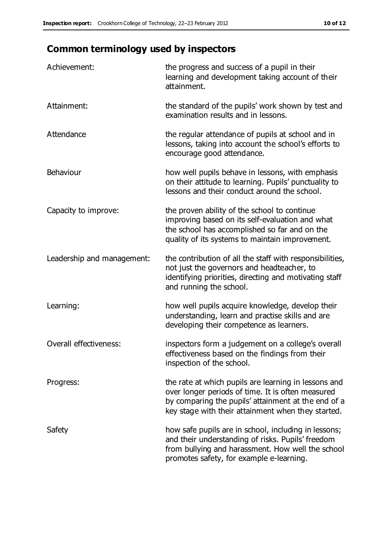## **Common terminology used by inspectors**

| Achievement:               | the progress and success of a pupil in their<br>learning and development taking account of their<br>attainment.                                                                                                        |
|----------------------------|------------------------------------------------------------------------------------------------------------------------------------------------------------------------------------------------------------------------|
| Attainment:                | the standard of the pupils' work shown by test and<br>examination results and in lessons.                                                                                                                              |
| Attendance                 | the regular attendance of pupils at school and in<br>lessons, taking into account the school's efforts to<br>encourage good attendance.                                                                                |
| Behaviour                  | how well pupils behave in lessons, with emphasis<br>on their attitude to learning. Pupils' punctuality to<br>lessons and their conduct around the school.                                                              |
| Capacity to improve:       | the proven ability of the school to continue<br>improving based on its self-evaluation and what<br>the school has accomplished so far and on the<br>quality of its systems to maintain improvement.                    |
| Leadership and management: | the contribution of all the staff with responsibilities,<br>not just the governors and headteacher, to<br>identifying priorities, directing and motivating staff<br>and running the school.                            |
| Learning:                  | how well pupils acquire knowledge, develop their<br>understanding, learn and practise skills and are<br>developing their competence as learners.                                                                       |
| Overall effectiveness:     | inspectors form a judgement on a college's overall<br>effectiveness based on the findings from their<br>inspection of the school.                                                                                      |
| Progress:                  | the rate at which pupils are learning in lessons and<br>over longer periods of time. It is often measured<br>by comparing the pupils' attainment at the end of a<br>key stage with their attainment when they started. |
| Safety                     | how safe pupils are in school, including in lessons;<br>and their understanding of risks. Pupils' freedom<br>from bullying and harassment. How well the school<br>promotes safety, for example e-learning.             |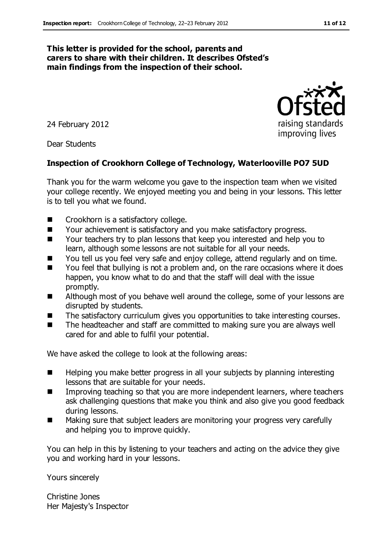#### **This letter is provided for the school, parents and carers to share with their children. It describes Ofsted's main findings from the inspection of their school.**

24 February 2012

Dear Students

#### **Inspection of Crookhorn College of Technology, Waterlooville PO7 5UD**

Thank you for the warm welcome you gave to the inspection team when we visited your college recently. We enjoyed meeting you and being in your lessons. This letter is to tell you what we found.

- Crookhorn is a satisfactory college.
- Your achievement is satisfactory and you make satisfactory progress.
- Your teachers try to plan lessons that keep you interested and help you to learn, although some lessons are not suitable for all your needs.
- You tell us you feel very safe and enjoy college, attend regularly and on time.
- You feel that bullying is not a problem and, on the rare occasions where it does happen, you know what to do and that the staff will deal with the issue promptly.
- Although most of you behave well around the college, some of your lessons are disrupted by students.
- The satisfactory curriculum gives you opportunities to take interesting courses.
- The headteacher and staff are committed to making sure you are always well cared for and able to fulfil your potential.

We have asked the college to look at the following areas:

- Helping you make better progress in all your subjects by planning interesting lessons that are suitable for your needs.
- **IMPROPIED 12 Improving teaching so that you are more independent learners, where teachers** ask challenging questions that make you think and also give you good feedback during lessons.
- Making sure that subject leaders are monitoring your progress very carefully and helping you to improve quickly.

You can help in this by listening to your teachers and acting on the advice they give you and working hard in your lessons.

Yours sincerely

Christine Jones Her Majesty's Inspector